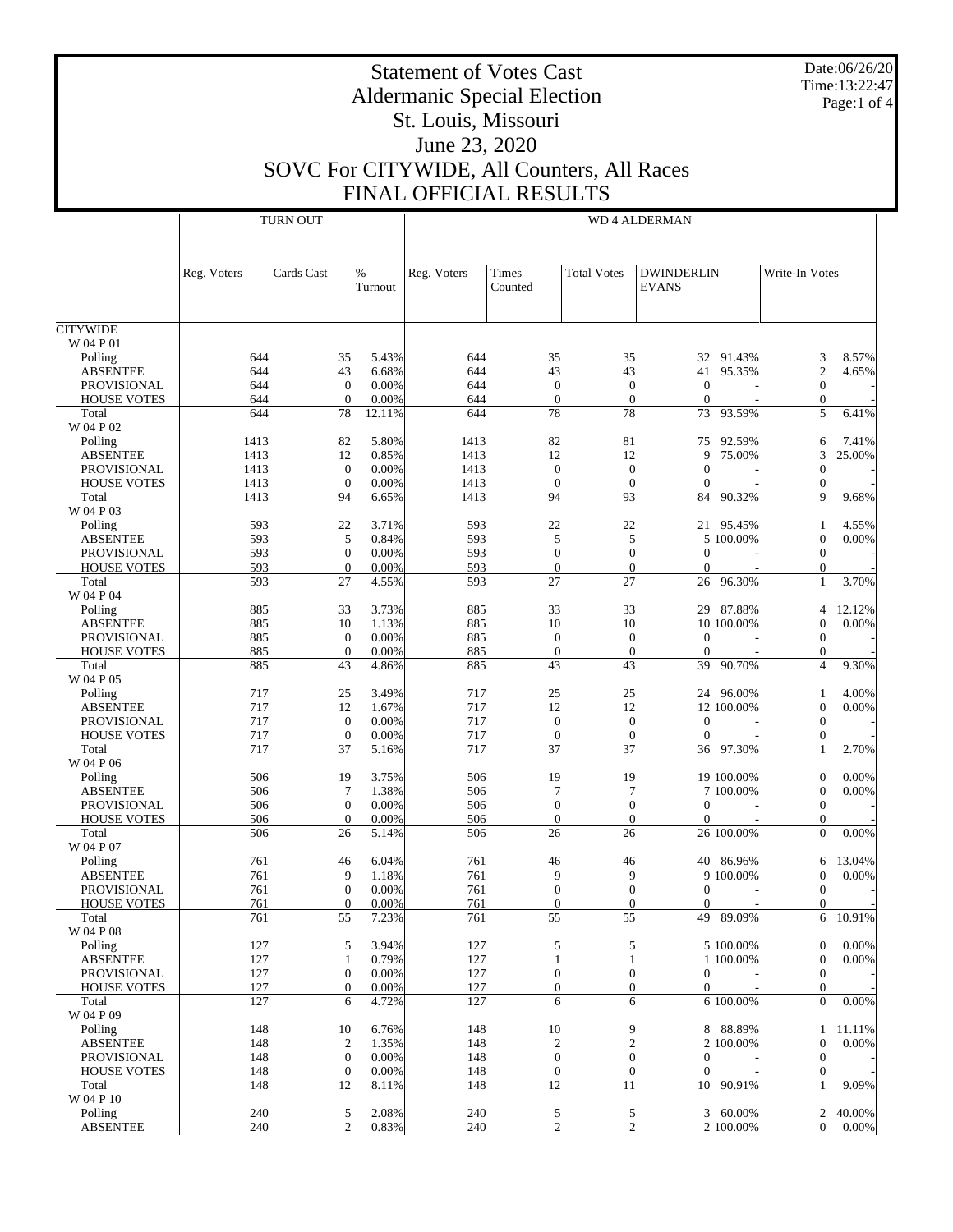Date:06/26/20 Time:13:22:47 Page:1 of 4

# Aldermanic Special Election St. Louis, Missouri June 23, 2020 SOVC For CITYWIDE, All Counters, All Races

Statement of Votes Cast

FINAL OFFICIAL RESULTS

|                                          |             | <b>TURN OUT</b>                      |                | <b>WD 4 ALDERMAN</b> |                                      |                                      |                                   |                                  |          |  |
|------------------------------------------|-------------|--------------------------------------|----------------|----------------------|--------------------------------------|--------------------------------------|-----------------------------------|----------------------------------|----------|--|
|                                          | Reg. Voters | Cards Cast                           | %<br>Turnout   | Reg. Voters          | Times<br>Counted                     | <b>Total Votes</b>                   | <b>DWINDERLIN</b><br><b>EVANS</b> | Write-In Votes                   |          |  |
| <b>CITYWIDE</b>                          |             |                                      |                |                      |                                      |                                      |                                   |                                  |          |  |
| W 04 P 01                                |             |                                      |                |                      |                                      |                                      |                                   |                                  |          |  |
| Polling                                  | 644         | 35                                   | 5.43%          | 644                  | 35                                   | 35                                   | 32 91.43%                         | 3                                | 8.57%    |  |
| <b>ABSENTEE</b>                          | 644         | 43                                   | 6.68%          | 644                  | 43                                   | 43                                   | 95.35%<br>41                      | $\mathfrak{2}$                   | 4.65%    |  |
| PROVISIONAL<br><b>HOUSE VOTES</b>        | 644<br>644  | $\mathbf{0}$<br>$\mathbf{0}$         | 0.00%<br>0.00% | 644<br>644           | $\boldsymbol{0}$<br>$\theta$         | $\mathbf{0}$<br>$\mathbf{0}$         | $\theta$<br>$\overline{0}$        | $\mathbf{0}$<br>$\mathbf{0}$     |          |  |
| Total                                    | 644         | 78                                   | 12.11%         | 644                  | 78                                   | 78                                   | 93.59%<br>73                      | 5                                | 6.41%    |  |
| W 04 P 02                                |             |                                      |                |                      |                                      |                                      |                                   |                                  |          |  |
| Polling                                  | 1413        | 82                                   | 5.80%          | 1413                 | 82                                   | 81                                   | 75<br>92.59%                      | 6                                | 7.41%    |  |
| <b>ABSENTEE</b>                          | 1413        | 12                                   | 0.85%          | 1413                 | 12                                   | 12                                   | 9<br>75.00%                       | 3                                | 25.00%   |  |
| PROVISIONAL                              | 1413        | $\mathbf{0}$                         | 0.00%          | 1413                 | $\boldsymbol{0}$                     | $\boldsymbol{0}$                     | $\theta$                          | $\overline{0}$                   |          |  |
| <b>HOUSE VOTES</b>                       | 1413        | $\mathbf{0}$                         | 0.00%          | 1413                 | $\theta$                             | $\boldsymbol{0}$                     | $\theta$                          | $\theta$                         |          |  |
| Total<br>W 04 P 03                       | 1413        | 94                                   | 6.65%          | 1413                 | 94                                   | 93                                   | 90.32%<br>84                      | 9                                | 9.68%    |  |
| Polling                                  | 593         | 22                                   | 3.71%          | 593                  | 22                                   | 22                                   | 21 95.45%                         | $\mathbf{1}$                     | 4.55%    |  |
| <b>ABSENTEE</b>                          | 593         | 5                                    | 0.84%          | 593                  | 5                                    | 5                                    | 5 100.00%                         | $\mathbf{0}$                     | 0.00%    |  |
| PROVISIONAL                              | 593         | $\overline{0}$                       | 0.00%          | 593                  | $\mathbf{0}$                         | $\overline{0}$                       | $\theta$                          | $\mathbf{0}$                     |          |  |
| <b>HOUSE VOTES</b>                       | 593         | $\mathbf{0}$                         | 0.00%          | 593                  | $\theta$                             | $\mathbf{0}$                         | $\Omega$                          | $\mathbf{0}$                     |          |  |
| Total<br>W 04 P 04                       | 593         | 27                                   | 4.55%          | 593                  | 27                                   | 27                                   | 26<br>96.30%                      | $\mathbf{1}$                     | 3.70%    |  |
| Polling                                  | 885         | 33                                   | 3.73%          | 885                  | 33                                   | 33                                   | 29 87.88%                         | 4                                | 12.12%   |  |
| <b>ABSENTEE</b>                          | 885         | 10                                   | 1.13%          | 885                  | 10                                   | 10                                   | 10 100.00%                        | $\mathbf{0}$                     | 0.00%    |  |
| <b>PROVISIONAL</b>                       | 885         | $\mathbf{0}$                         | 0.00%          | 885                  | $\boldsymbol{0}$                     | $\boldsymbol{0}$                     | $\theta$                          | $\boldsymbol{0}$                 |          |  |
| <b>HOUSE VOTES</b>                       | 885         | $\boldsymbol{0}$                     | 0.00%          | 885                  | $\boldsymbol{0}$                     | $\boldsymbol{0}$                     | $\overline{0}$                    | $\theta$                         |          |  |
| Total<br>W 04 P 05                       | 885         | 43                                   | 4.86%          | 885                  | 43                                   | 43                                   | 90.70%<br>39                      | $\overline{4}$                   | 9.30%    |  |
| Polling                                  | 717         | 25                                   | 3.49%          | 717                  | 25                                   | 25                                   | 24 96.00%                         | $\mathbf{1}$                     | 4.00%    |  |
| <b>ABSENTEE</b>                          | 717         | 12                                   | 1.67%          | 717                  | 12                                   | 12                                   | 12 100.00%                        | $\mathbf{0}$                     | 0.00%    |  |
| PROVISIONAL                              | 717         | $\mathbf{0}$                         | 0.00%          | 717                  | $\boldsymbol{0}$                     | $\boldsymbol{0}$                     | $\theta$                          | $\mathbf{0}$                     |          |  |
| <b>HOUSE VOTES</b><br>Total              | 717<br>717  | $\theta$<br>37                       | 0.00%<br>5.16% | 717<br>717           | $\boldsymbol{0}$<br>37               | $\boldsymbol{0}$<br>37               | $\Omega$<br>36 97.30%             | $\mathbf{0}$<br>$\mathbf{1}$     | 2.70%    |  |
| W 04 P 06                                |             |                                      |                |                      |                                      |                                      |                                   |                                  |          |  |
| Polling                                  | 506         | 19                                   | 3.75%          | 506                  | 19                                   | 19                                   | 19 100.00%                        | $\boldsymbol{0}$                 | 0.00%    |  |
| <b>ABSENTEE</b>                          | 506         | $\tau$                               | 1.38%          | 506                  | 7                                    | 7                                    | 7 100.00%                         | $\theta$                         | 0.00%    |  |
| <b>PROVISIONAL</b><br><b>HOUSE VOTES</b> | 506<br>506  | $\boldsymbol{0}$<br>$\boldsymbol{0}$ | 0.00%<br>0.00% | 506<br>506           | $\boldsymbol{0}$                     | $\boldsymbol{0}$<br>$\boldsymbol{0}$ | $\overline{0}$<br>$\overline{0}$  | $\mathbf{0}$<br>$\theta$         |          |  |
| Total                                    | 506         | 26                                   | 5.14%          | 506                  | $\boldsymbol{0}$<br>26               | 26                                   | 26 100.00%                        | $\mathbf{0}$                     | 0.00%    |  |
| W 04 P 07                                |             |                                      |                |                      |                                      |                                      |                                   |                                  |          |  |
| Polling                                  | 761         | 46                                   | 6.04%          | 761                  | 46                                   | 46                                   | 40 86.96%                         | 6                                | 13.04%   |  |
| <b>ABSENTEE</b>                          | 761         | 9                                    | 1.18%          | 761                  | 9                                    | 9                                    | 9 100.00%                         | $\mathbf{0}$                     | 0.00%    |  |
| <b>PROVISIONAL</b>                       | 761         | $\mathbf{0}$                         | 0.00%          | 761                  | $\boldsymbol{0}$                     | $\overline{0}$                       | $\theta$                          | $\boldsymbol{0}$                 |          |  |
| <b>HOUSE VOTES</b>                       | 761         | $\mathbf{0}$                         | 0.00%          | 761                  | $\mathbf{0}$                         | $\overline{0}$                       | $\overline{0}$                    | $\theta$                         |          |  |
| Total                                    | 761         | 55                                   | 7.23%          | 761                  | 55                                   | 55                                   | 49 89.09%                         | 6                                | 10.91%   |  |
| W 04 P 08                                |             |                                      |                |                      |                                      |                                      |                                   |                                  |          |  |
| Polling                                  | 127         | 5                                    | 3.94%          | 127                  | $\sqrt{5}$                           | 5                                    | 5 100.00%                         | $\boldsymbol{0}$                 | 0.00%    |  |
| <b>ABSENTEE</b><br><b>PROVISIONAL</b>    | 127<br>127  | $\mathbf{1}$<br>$\boldsymbol{0}$     | 0.79%<br>0.00% | 127<br>127           | $\mathbf{1}$<br>$\boldsymbol{0}$     | $\mathbf{1}$<br>$\boldsymbol{0}$     | 1 100.00%<br>$\mathbf{0}$         | $\mathbf{0}$<br>$\mathbf{0}$     | $0.00\%$ |  |
| <b>HOUSE VOTES</b>                       | 127         | $\boldsymbol{0}$                     | 0.00%          | 127                  | $\boldsymbol{0}$                     | $\boldsymbol{0}$                     | $\overline{0}$                    | $\mathbf{0}$                     |          |  |
| Total                                    | 127         | 6                                    | 4.72%          | 127                  | 6                                    | 6                                    | 6 100.00%                         | $\mathbf{0}$                     | 0.00%    |  |
| W 04 P 09                                |             |                                      |                |                      |                                      |                                      |                                   |                                  |          |  |
| Polling                                  | 148         | 10                                   | 6.76%          | 148                  | 10                                   | 9                                    | 8 88.89%                          | $\mathbf{1}$                     | 11.11%   |  |
| <b>ABSENTEE</b>                          | 148         | $\overline{2}$                       | 1.35%          | 148                  | $\boldsymbol{2}$                     | $\sqrt{2}$                           | 2 100.00%                         | $\boldsymbol{0}$                 | $0.00\%$ |  |
| <b>PROVISIONAL</b>                       | 148         | $\mathbf{0}$<br>$\boldsymbol{0}$     | 0.00%<br>0.00% | 148<br>148           | $\boldsymbol{0}$<br>$\boldsymbol{0}$ | $\boldsymbol{0}$<br>$\boldsymbol{0}$ | $\mathbf{0}$<br>$\mathbf{0}$      | $\boldsymbol{0}$<br>$\mathbf{0}$ |          |  |
| <b>HOUSE VOTES</b><br>Total              | 148<br>148  | 12                                   | 8.11%          | 148                  | 12                                   | 11                                   | 10 90.91%                         | $\mathbf{1}$                     | 9.09%    |  |
| W 04 P 10                                |             |                                      |                |                      |                                      |                                      |                                   |                                  |          |  |
| Polling                                  | 240         | 5                                    | 2.08%          | 240                  | $\sqrt{5}$                           | 5                                    | 3 60.00%                          | $\overline{2}$                   | 40.00%   |  |
| <b>ABSENTEE</b>                          | 240         | 2                                    | 0.83%          | 240                  | $\boldsymbol{2}$                     | $\overline{2}$                       | 2 100.00%                         | $\mathbf{0}$                     | $0.00\%$ |  |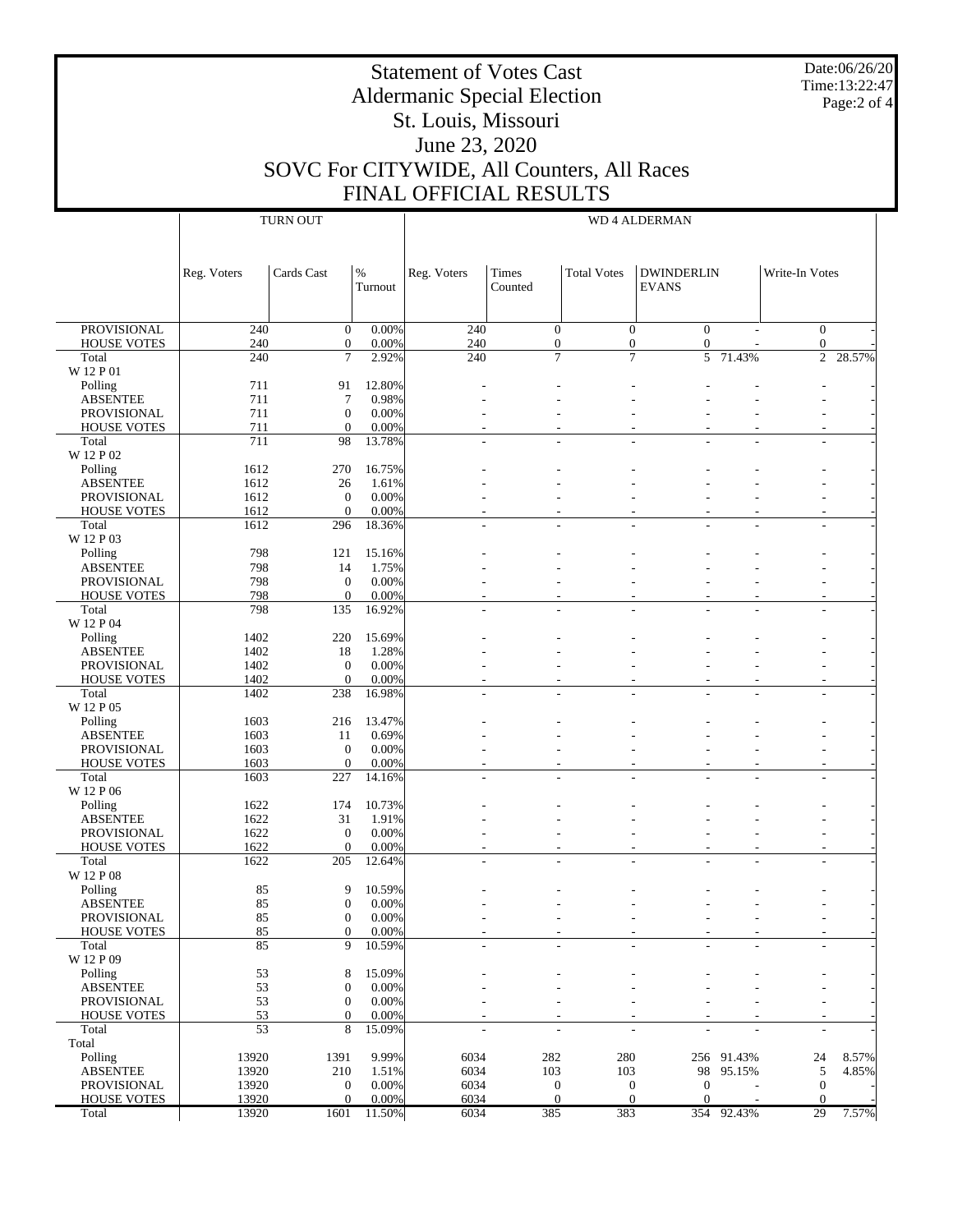Date:06/26/20 Time:13:22:47 Page:2 of 4

#### Statement of Votes Cast Aldermanic Special Election St. Louis, Missouri June 23, 2020 SOVC For CITYWIDE, All Counters, All Races FINAL OFFICIAL RESULTS PROVISIONAL HOUSE VOTES Total W 12 P 01 Polling ABSENTEE PROVISIONAL HOUSE VOTES Total W 12 P 02 Polling ABSENTEE PROVISIONAL HOUSE VOTES Total W 12 P 03 Polling ABSENTEE PROVISIONAL HOUSE VOTES Total W 12 P 04 Polling ABSENTEE PROVISIONAL HOUSE VOTES Total W 12 P 05 Polling ABSENTEE PROVISIONAL HOUSE VOTES Total W 12 P 06 Polling ABSENTEE PROVISIONAL **HOUSE VOTES**  Total W 12 P 08 Polling ABSENTEE PROVISIONAL HOUSE VOTES Total W 12 P 09 Polling ABSENTEE PROVISIONAL HOUSE VOTES Total Total Polling ABSENTEE PROVISIONAL Reg. Voters  $\vert$  Cards Cast  $\vert\%$ Turnout TURN OUT Reg. Voters | Times Counted Total Votes | DWINDERLIN EVANS Write-In Votes WD 4 ALDERMAN  $240$  0 0.00% 240 0 0 0 0 - 0 - $240$  0 0.00% 240 0 0 0 0 0 0 0 240 7 2.92% 240 7 7 5 71.43% 2 28.57%  $711$  91 12.80% - - - - - - - - - - - - -711 7 0.98% - - - - - - -  $711$  0 0.00% - - - - - - - - - - - - $711$  0 0.00% - - - - - - - - - - - - - -711 98 13.78% - - - - - - - 1612 270 16.75% - - - - - - - 1612 26 1.61% - - - - - - - - - - - - - - $1612$  0 0.00% - - - - - - - - - - - - $1612$  0 0.00% - - - - - - - - - - - - - - - -1612 296 18.36% - - - - - - - 798 121 15.16% - - - - - - - 798 14 1.75% - - - - - - -  $798$  0 0.00% - - - - - - - - - - - - - $798$  0 0.00% - - - - - - - - - - - - - -798 135 16.92% - - - - - - - 1402 220 15.69% - - - - - - - 1402 18 1.28% - - - - - - -  $1402$  0 0.00% - - - - - - - - - - - -1402 0 0.00% - - - - - - - 1402 238 16.98% - - - - - - - 1603 216 13.47% - - - - - - -  $1603$  11  $0.69\%$  - - - - - - - - - - - - $1603$  0 0.00% - - - - - - - - - - - -1603 0 0.00% - - - - - - - 1603 227 14.16% - - - - - - - 1622 174 10.73% - - - - - - - 1622 31 1.91% - - - - - - - - - - - - - - - - $1622$  0 0.00% - - - - - - - - - - - - $1622$  0 0.00% - - - - - - - - - - - - - - - -1622 205 12.64% - - - - - - - 85 9 10.59% - - - - - - - - - - - - - $85$  0 0.00% - - - - - - - - - - - $85$  0 0.00% - - - - - - - - - - - $85$  0 0.00% - - - - - - - - - - - - -85 9 10.59% - - - - - - - - - - - - - $53$  8 15.09% - - - - - - - - - - - - $53$  0 0.00% - - - - - - - - - - - $53$  0 0.00% - - - - - - - - - - - $53$  0 0.00% - - - - - - - - - - - - $53$  8 15.09% - - - - - - - - - - - -13920 1391 9.99% 6034 282 280 256 91.43% 24 8.57% 13920 210 1.51% 6034 103 103 98 95.15% 5 4.85%  $13920$  0 0.00% 6034 0 0 0 - 0 -

 $13920$  0 0.00% 6034 0 0 0 - 0 -13920 1601 11.50% 6034 385 383 354 92.43% 29 7.57%

HOUSE VOTES

Total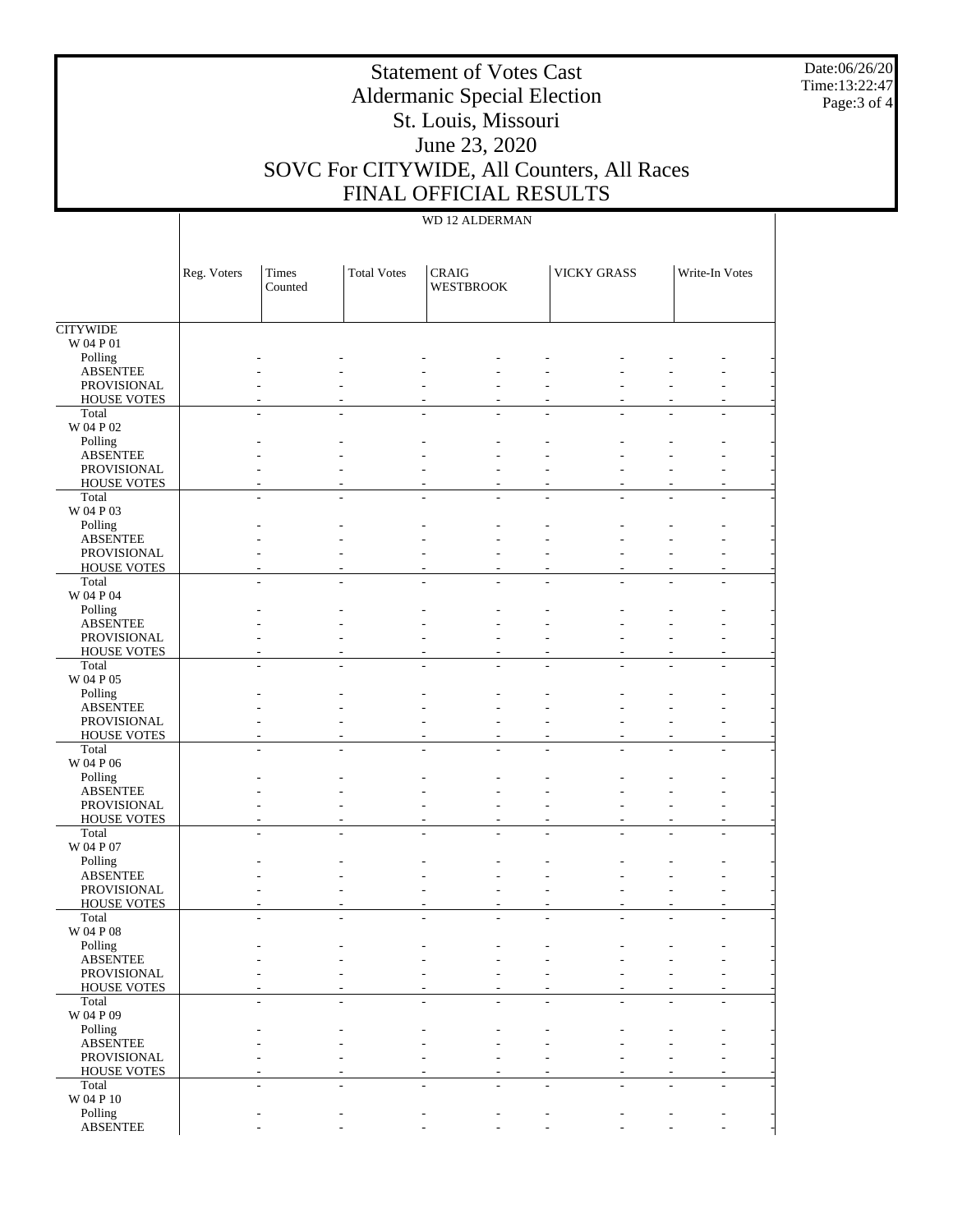Date:06/26/20 Time:13:22:47 Page:3 of 4

## Aldermanic Special Election St. Louis, Missouri June 23, 2020 SOVC For CITYWIDE, All Counters, All Races FINAL OFFICIAL RESULTS

Statement of Votes Cast

### WD 12 ALDERMAN

|                                          | Reg. Voters | Times<br>Counted | <b>Total Votes</b> | <b>CRAIG</b><br><b>WESTBROOK</b>           |    | <b>VICKY GRASS</b> | Write-In Votes |  |
|------------------------------------------|-------------|------------------|--------------------|--------------------------------------------|----|--------------------|----------------|--|
|                                          |             |                  |                    |                                            |    |                    |                |  |
| <b>CITYWIDE</b>                          |             |                  |                    |                                            |    |                    |                |  |
| W 04 P 01                                |             |                  |                    |                                            |    |                    |                |  |
| Polling<br><b>ABSENTEE</b>               |             |                  |                    |                                            |    |                    |                |  |
| <b>PROVISIONAL</b>                       |             |                  |                    |                                            |    |                    |                |  |
| <b>HOUSE VOTES</b>                       |             |                  |                    |                                            |    |                    |                |  |
| Total                                    |             |                  | $\overline{a}$     |                                            |    |                    |                |  |
| W 04 P 02                                |             |                  |                    |                                            |    |                    |                |  |
| Polling                                  |             |                  |                    |                                            |    |                    |                |  |
| <b>ABSENTEE</b>                          |             |                  |                    |                                            |    |                    |                |  |
| <b>PROVISIONAL</b>                       |             |                  |                    |                                            |    |                    |                |  |
| <b>HOUSE VOTES</b>                       |             |                  |                    |                                            |    |                    |                |  |
| Total                                    |             |                  |                    |                                            |    |                    |                |  |
| W 04 P 03                                |             |                  |                    |                                            |    |                    |                |  |
| Polling                                  |             |                  |                    |                                            |    |                    |                |  |
| <b>ABSENTEE</b>                          |             |                  |                    |                                            |    |                    |                |  |
| <b>PROVISIONAL</b><br><b>HOUSE VOTES</b> |             |                  |                    |                                            |    |                    |                |  |
| Total                                    |             |                  |                    | $\overline{\phantom{a}}$<br>$\overline{a}$ |    |                    |                |  |
| W 04 P 04                                |             |                  |                    |                                            |    |                    |                |  |
| Polling                                  |             |                  |                    |                                            |    |                    |                |  |
| <b>ABSENTEE</b>                          |             |                  |                    |                                            |    |                    |                |  |
| <b>PROVISIONAL</b>                       |             |                  |                    |                                            |    |                    |                |  |
| <b>HOUSE VOTES</b>                       |             |                  |                    |                                            |    |                    |                |  |
| Total                                    |             |                  |                    |                                            |    |                    |                |  |
| W 04 P 05                                |             |                  |                    |                                            |    |                    |                |  |
| Polling                                  |             |                  |                    |                                            |    |                    |                |  |
| <b>ABSENTEE</b>                          |             |                  |                    |                                            |    |                    |                |  |
| <b>PROVISIONAL</b>                       |             |                  |                    |                                            |    |                    |                |  |
| <b>HOUSE VOTES</b>                       |             |                  |                    |                                            |    |                    |                |  |
| Total<br>W 04 P 06                       |             |                  |                    | $\overline{\phantom{a}}$<br>L,             | L, |                    |                |  |
| Polling                                  |             |                  |                    |                                            |    |                    |                |  |
| <b>ABSENTEE</b>                          |             |                  |                    |                                            |    |                    |                |  |
| <b>PROVISIONAL</b>                       |             |                  |                    |                                            |    |                    |                |  |
| <b>HOUSE VOTES</b>                       |             |                  |                    |                                            |    |                    |                |  |
| Total                                    |             |                  |                    |                                            |    |                    |                |  |
| W 04 P 07                                |             |                  |                    |                                            |    |                    |                |  |
| Polling                                  |             |                  |                    |                                            |    |                    |                |  |
| <b>ABSENTEE</b>                          |             |                  |                    |                                            |    |                    |                |  |
| PROVISIONAL                              |             |                  |                    |                                            |    |                    |                |  |
| <b>HOUSE VOTES</b>                       |             |                  |                    |                                            |    |                    |                |  |
| Total                                    |             |                  |                    |                                            |    |                    |                |  |
| W 04 P 08                                |             |                  |                    |                                            |    |                    |                |  |
| Polling<br><b>ABSENTEE</b>               |             |                  |                    |                                            |    |                    |                |  |
| PROVISIONAL                              |             |                  |                    |                                            |    |                    |                |  |
| <b>HOUSE VOTES</b>                       |             |                  |                    |                                            |    |                    |                |  |
| Total                                    |             |                  |                    | $\overline{\phantom{a}}$<br>L,             |    |                    |                |  |
| W 04 P 09                                |             |                  |                    |                                            |    |                    |                |  |
| Polling                                  |             |                  |                    |                                            |    |                    |                |  |
| <b>ABSENTEE</b>                          |             |                  |                    |                                            |    |                    |                |  |
| PROVISIONAL                              |             |                  |                    |                                            |    |                    |                |  |
| HOUSE VOTES                              |             |                  |                    |                                            |    |                    |                |  |
| Total                                    |             |                  |                    | $\overline{a}$                             |    |                    |                |  |
| W 04 P 10                                |             |                  |                    |                                            |    |                    |                |  |
| Polling                                  |             |                  |                    |                                            |    |                    |                |  |
| <b>ABSENTEE</b>                          |             |                  |                    |                                            |    |                    |                |  |